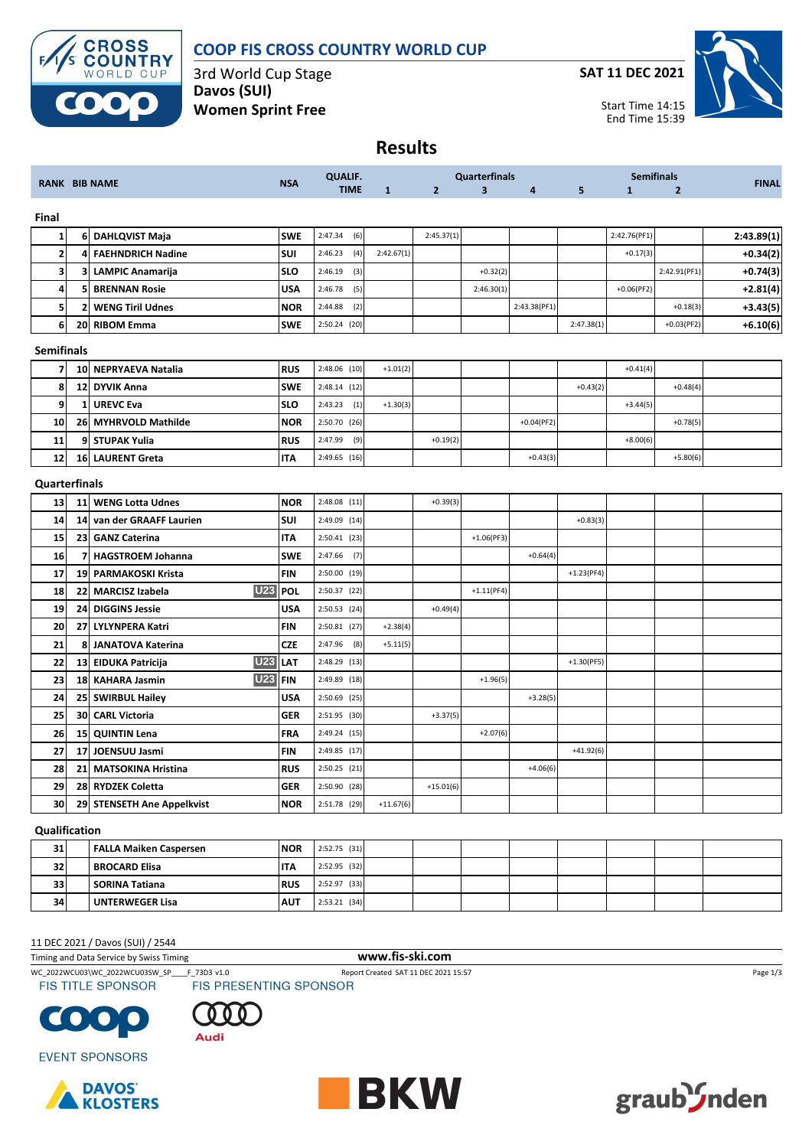

## **COOP FIS CROSS COUNTRY WORLD CUP**

3rd World Cup Stage **Davos (SUI) Women Sprint Free**

**SAT 11 DEC 2021**



**Results**

|                   |              | <b>RANK BIB NAME</b>                 |            | <b>QUALIF.</b> |              |                | <b>Quarterfinals</b>    |              |              |              |                |              |
|-------------------|--------------|--------------------------------------|------------|----------------|--------------|----------------|-------------------------|--------------|--------------|--------------|----------------|--------------|
|                   |              |                                      | <b>NSA</b> | <b>TIME</b>    | $\mathbf{1}$ | $\overline{2}$ | $\overline{\mathbf{3}}$ | 4            | 5            | $\mathbf{1}$ | $\overline{2}$ | <b>FINAL</b> |
| Final             |              |                                      |            |                |              |                |                         |              |              |              |                |              |
| 1                 | 6            | <b>DAHLQVIST Maja</b>                | <b>SWE</b> | 2:47.34<br>(6) |              | 2:45.37(1)     |                         |              |              | 2:42.76(PF1) |                | 2:43.89(1)   |
| $\overline{2}$    | 4            | <b>FAEHNDRICH Nadine</b>             | SUI        | 2:46.23<br>(4) | 2:42.67(1)   |                |                         |              |              | $+0.17(3)$   |                | $+0.34(2)$   |
| 3                 | 3            | <b>LAMPIC Anamarija</b>              | <b>SLO</b> | 2:46.19<br>(3) |              |                | $+0.32(2)$              |              |              |              | 2:42.91(PF1)   | $+0.74(3)$   |
| $\overline{a}$    | 5            | <b>BRENNAN Rosie</b>                 | <b>USA</b> | (5)<br>2:46.78 |              |                | 2:46.30(1)              |              |              | $+0.06(PF2)$ |                | $+2.81(4)$   |
| 5 <sup>1</sup>    | 2            | <b>WENG Tiril Udnes</b>              | <b>NOR</b> | (2)<br>2:44.88 |              |                |                         | 2:43.38(PF1) |              |              | $+0.18(3)$     | $+3.43(5)$   |
| 6                 | 20           | <b>RIBOM Emma</b>                    | <b>SWE</b> | 2:50.24 (20)   |              |                |                         |              | 2:47.38(1)   |              | $+0.03(PF2)$   | $+6.10(6)$   |
| <b>Semifinals</b> |              |                                      |            |                |              |                |                         |              |              |              |                |              |
| 7                 |              | 10 NEPRYAEVA Natalia                 | <b>RUS</b> | 2:48.06 (10)   | $+1.01(2)$   |                |                         |              |              | $+0.41(4)$   |                |              |
| 8                 | 12           | <b>DYVIK Anna</b>                    | <b>SWE</b> | 2:48.14 (12)   |              |                |                         |              | $+0.43(2)$   |              | $+0.48(4)$     |              |
| $\mathbf{9}$      | $\mathbf{1}$ | <b>UREVC Eva</b>                     | <b>SLO</b> | (1)<br>2:43.23 | $+1.30(3)$   |                |                         |              |              | $+3.44(5)$   |                |              |
| 10                | 26           | <b>MYHRVOLD Mathilde</b>             | <b>NOR</b> | 2:50.70 (26)   |              |                |                         | $+0.04(PF2)$ |              |              | $+0.78(5)$     |              |
| 11                | 9            | <b>STUPAK Yulia</b>                  | <b>RUS</b> | 2:47.99<br>(9) |              | $+0.19(2)$     |                         |              |              | $+8.00(6)$   |                |              |
| 12                | 16           | <b>LAURENT Greta</b>                 | <b>ITA</b> | 2:49.65 (16)   |              |                |                         | $+0.43(3)$   |              |              | $+5.80(6)$     |              |
| Quarterfinals     |              |                                      |            |                |              |                |                         |              |              |              |                |              |
| 13                | 11           | <b>WENG Lotta Udnes</b>              | <b>NOR</b> | $2:48.08$ (11) |              | $+0.39(3)$     |                         |              |              |              |                |              |
| 14                | 14           | van der GRAAFF Laurien               | SUI        | 2:49.09 (14)   |              |                |                         |              | $+0.83(3)$   |              |                |              |
| 15                | 23           | <b>GANZ Caterina</b>                 | <b>ITA</b> | 2:50.41(23)    |              |                | $+1.06(PF3)$            |              |              |              |                |              |
| 16                | 7            | <b>HAGSTROEM Johanna</b>             | <b>SWE</b> | 2:47.66<br>(7) |              |                |                         | $+0.64(4)$   |              |              |                |              |
| 17                | 19           | <b>PARMAKOSKI Krista</b>             | <b>FIN</b> | 2:50.00 (19)   |              |                |                         |              | $+1.23(PF4)$ |              |                |              |
| 18                | 22           | <b>U23</b><br><b>MARCISZ Izabela</b> | <b>POL</b> | 2:50.37 (22)   |              |                | $+1.11(PF4)$            |              |              |              |                |              |
| 19                | 24           | <b>DIGGINS Jessie</b>                | <b>USA</b> | 2:50.53 (24)   |              | $+0.49(4)$     |                         |              |              |              |                |              |
| 20                | 27           | <b>LYLYNPERA Katri</b>               | <b>FIN</b> | $2:50.81$ (27) | $+2.38(4)$   |                |                         |              |              |              |                |              |
| 21                | 8            | <b>JANATOVA Katerina</b>             | <b>CZE</b> | 2:47.96<br>(8) | $+5.11(5)$   |                |                         |              |              |              |                |              |
| 22                |              | <b>U23</b><br>13 EIDUKA Patricija    | LAT        | 2:48.29 (13)   |              |                |                         |              | $+1.30(PF5)$ |              |                |              |
| 23                |              | <b>U23</b><br>18 KAHARA Jasmin       | <b>FIN</b> | 2:49.89 (18)   |              |                | $+1.96(5)$              |              |              |              |                |              |
| 24                |              | 25 SWIRBUL Hailey                    | <b>USA</b> | 2:50.69 (25)   |              |                |                         | $+3.28(5)$   |              |              |                |              |
| 25                | 30           | <b>CARL Victoria</b>                 | <b>GER</b> | 2:51.95 (30)   |              | $+3.37(5)$     |                         |              |              |              |                |              |
| 26                | 15           | <b>QUINTIN Lena</b>                  | FRA        | 2:49.24 (15)   |              |                | $+2.07(6)$              |              |              |              |                |              |
| 27                | 17           | <b>JOENSUU Jasmi</b>                 | <b>FIN</b> | 2:49.85 (17)   |              |                |                         |              | $+41.92(6)$  |              |                |              |
| 28                | 21           | <b>MATSOKINA Hristina</b>            | <b>RUS</b> | 2:50.25 (21)   |              |                |                         | $+4.06(6)$   |              |              |                |              |
| 29                | 28           | <b>RYDZEK Coletta</b>                | <b>GER</b> | 2:50.90 (28)   |              | $+15.01(6)$    |                         |              |              |              |                |              |
| 30                |              | 29 STENSETH Ane Appelkvist           | <b>NOR</b> | 2:51.78 (29)   | $+11.67(6)$  |                |                         |              |              |              |                |              |

### **Qualification**

| 31 | <b>FALLA Maiken Caspersen</b> | <b>NOR</b> | $2:52.75$ (31) |  |  |  |  |
|----|-------------------------------|------------|----------------|--|--|--|--|
| 32 | BROCARD Elisa                 | <b>ITA</b> | 2:52.95 (32)   |  |  |  |  |
| 33 | SORINA Tatiana                | <b>RUS</b> | $2:52.97$ (33) |  |  |  |  |
| 34 | <b>UNTERWEGER Lisa</b>        | <b>AUT</b> | $2:53.21$ (34) |  |  |  |  |

#### 11 DEC 2021 / Davos (SUI) / 2544

Timing and Data Service by Swiss Timing **www.fis-ski.com**



WC\_2022WCU03\WC\_2022WCU03SW\_SP\_\_\_F\_73D3 v1.0 Report Created SAT 11 DEC 2021 15:57 Page 1/3<br>
FIS TITLE SPONSOR FIS PRESENTING SPONSOR

Audi



**EVENT SPONSORS** 





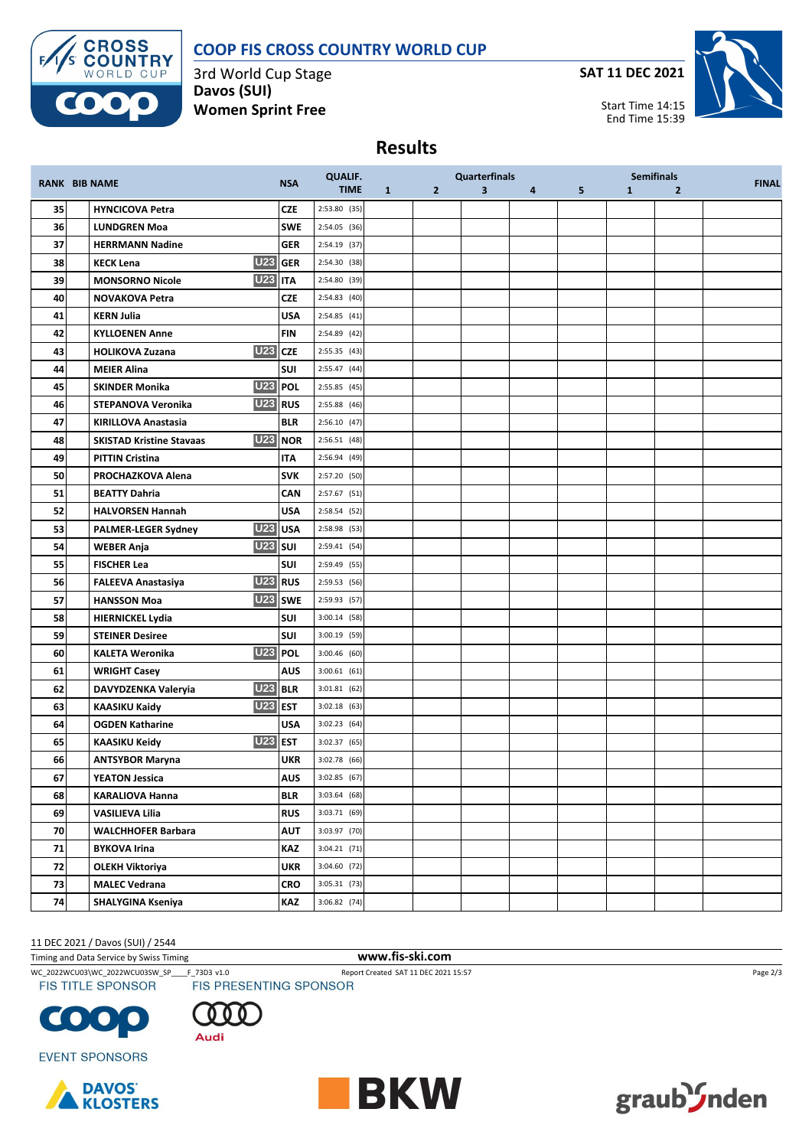# **COOP FIS CROSS COUNTRY WORLD CUP**



3rd World Cup Stage **Davos (SUI) Women Sprint Free**

**SAT 11 DEC 2021**



**Results**

| <b>RANK BIB NAME</b> |                                                        | <b>NSA</b> | <b>QUALIF.</b> |   | <b>Quarterfinals</b> |                |                         | <b>Semifinals</b> | <b>FINAL</b> |                |  |
|----------------------|--------------------------------------------------------|------------|----------------|---|----------------------|----------------|-------------------------|-------------------|--------------|----------------|--|
|                      |                                                        |            | <b>TIME</b>    | 1 | $2^{\circ}$          | 3 <sup>1</sup> | $\overline{\mathbf{4}}$ | 5                 | $\mathbf{1}$ | $\overline{2}$ |  |
| 35                   | <b>HYNCICOVA Petra</b>                                 | <b>CZE</b> | 2:53.80 (35)   |   |                      |                |                         |                   |              |                |  |
| 36                   | <b>LUNDGREN Moa</b>                                    | <b>SWE</b> | 2:54.05 (36)   |   |                      |                |                         |                   |              |                |  |
| 37                   | <b>HERRMANN Nadine</b>                                 | <b>GER</b> | 2:54.19 (37)   |   |                      |                |                         |                   |              |                |  |
| 38                   | U23 GER<br><b>KECK Lena</b>                            |            | 2:54.30 (38)   |   |                      |                |                         |                   |              |                |  |
| 39                   | <b>U23</b><br><b>MONSORNO Nicole</b>                   | <b>ITA</b> | 2:54.80 (39)   |   |                      |                |                         |                   |              |                |  |
| 40                   | <b>NOVAKOVA Petra</b>                                  | <b>CZE</b> | 2:54.83 (40)   |   |                      |                |                         |                   |              |                |  |
| 41                   | <b>KERN Julia</b>                                      | <b>USA</b> | 2:54.85 (41)   |   |                      |                |                         |                   |              |                |  |
| 42                   | <b>KYLLOENEN Anne</b>                                  | <b>FIN</b> | 2:54.89 (42)   |   |                      |                |                         |                   |              |                |  |
| 43                   | <b>U23</b> CZE<br><b>HOLIKOVA Zuzana</b>               |            | 2:55.35 (43)   |   |                      |                |                         |                   |              |                |  |
| 44                   | <b>MEIER Alina</b>                                     | SUI        | 2:55.47 (44)   |   |                      |                |                         |                   |              |                |  |
| 45                   | U <sub>23</sub> POL<br><b>SKINDER Monika</b>           |            | 2:55.85 (45)   |   |                      |                |                         |                   |              |                |  |
| 46                   | <b>U23</b> RUS<br>STEPANOVA Veronika                   |            | 2:55.88 (46)   |   |                      |                |                         |                   |              |                |  |
| 47                   | <b>KIRILLOVA Anastasia</b>                             | <b>BLR</b> | 2:56.10(47)    |   |                      |                |                         |                   |              |                |  |
| 48                   | U <sub>23</sub> NOR<br><b>SKISTAD Kristine Stavaas</b> |            | 2:56.51(48)    |   |                      |                |                         |                   |              |                |  |
| 49                   | <b>PITTIN Cristina</b>                                 | <b>ITA</b> | 2:56.94 (49)   |   |                      |                |                         |                   |              |                |  |
| 50                   | PROCHAZKOVA Alena                                      | <b>SVK</b> | 2:57.20 (50)   |   |                      |                |                         |                   |              |                |  |
| 51                   | <b>BEATTY Dahria</b>                                   | CAN        | 2:57.67 (51)   |   |                      |                |                         |                   |              |                |  |
| 52                   | <b>HALVORSEN Hannah</b>                                | <b>USA</b> | 2:58.54 (52)   |   |                      |                |                         |                   |              |                |  |
| 53                   | U23 USA<br><b>PALMER-LEGER Sydney</b>                  |            | 2:58.98 (53)   |   |                      |                |                         |                   |              |                |  |
| 54                   | <b>U23</b> SUI<br><b>WEBER Anja</b>                    |            | 2:59.41 (54)   |   |                      |                |                         |                   |              |                |  |
| 55                   | <b>FISCHER Lea</b>                                     | SUI        | 2:59.49 (55)   |   |                      |                |                         |                   |              |                |  |
| 56                   | U <sub>23</sub> RUS<br><b>FALEEVA Anastasiya</b>       |            | 2:59.53 (56)   |   |                      |                |                         |                   |              |                |  |
| 57                   | U23 SWE<br><b>HANSSON Moa</b>                          |            | 2:59.93 (57)   |   |                      |                |                         |                   |              |                |  |
| 58                   | <b>HIERNICKEL Lydia</b>                                | <b>SUI</b> | $3:00.14$ (58) |   |                      |                |                         |                   |              |                |  |
| 59                   | <b>STEINER Desiree</b>                                 | <b>SUI</b> | 3:00.19 (59)   |   |                      |                |                         |                   |              |                |  |
| 60                   | $U23$ POL<br><b>KALETA Weronika</b>                    |            | 3:00.46 (60)   |   |                      |                |                         |                   |              |                |  |
| 61                   | <b>WRIGHT Casey</b>                                    | <b>AUS</b> | $3:00.61$ (61) |   |                      |                |                         |                   |              |                |  |
| 62                   | <b>U23 BLR</b><br>DAVYDZENKA Valeryia                  |            | $3:01.81$ (62) |   |                      |                |                         |                   |              |                |  |
| 63                   | <b>U23 EST</b><br><b>KAASIKU Kaidy</b>                 |            | $3:02.18$ (63) |   |                      |                |                         |                   |              |                |  |
| 64                   | <b>OGDEN Katharine</b>                                 | <b>USA</b> | 3:02.23 (64)   |   |                      |                |                         |                   |              |                |  |
| 65                   | <b>U23</b><br><b>KAASIKU Keidy</b>                     | <b>EST</b> | 3:02.37 (65)   |   |                      |                |                         |                   |              |                |  |
| 66                   | <b>ANTSYBOR Maryna</b>                                 | <b>UKR</b> | 3:02.78 (66)   |   |                      |                |                         |                   |              |                |  |
| 67                   | <b>YEATON Jessica</b>                                  | AUS        | $3:02.85$ (67) |   |                      |                |                         |                   |              |                |  |
| 68                   | <b>KARALIOVA Hanna</b>                                 | <b>BLR</b> | 3:03.64 (68)   |   |                      |                |                         |                   |              |                |  |
| 69                   | <b>VASILIEVA Lilia</b>                                 | <b>RUS</b> | 3:03.71 (69)   |   |                      |                |                         |                   |              |                |  |
| 70                   | <b>WALCHHOFER Barbara</b>                              | <b>AUT</b> | 3:03.97 (70)   |   |                      |                |                         |                   |              |                |  |
| 71                   | <b>BYKOVA Irina</b>                                    | KAZ        | $3:04.21$ (71) |   |                      |                |                         |                   |              |                |  |
| 72                   | <b>OLEKH Viktoriya</b>                                 | <b>UKR</b> | 3:04.60 (72)   |   |                      |                |                         |                   |              |                |  |
| 73                   | <b>MALEC Vedrana</b>                                   | <b>CRO</b> | $3:05.31$ (73) |   |                      |                |                         |                   |              |                |  |
| 74                   | <b>SHALYGINA Kseniya</b>                               | KAZ        | 3:06.82 (74)   |   |                      |                |                         |                   |              |                |  |

#### 11 DEC 2021 / Davos (SUI) / 2544

Timing and Data Service by Swiss Timing **www.fis-ski.com**



WC\_2022WCU03\WC\_2022WCU03SW\_SP\_\_\_F\_73D3 v1.0 Report Created SAT 11 DEC 2021 15:57 Page 2/3<br>
FIS TITLE SPONSOR FIS PRESENTING SPONSOR

Audi





**EVENT SPONSORS**